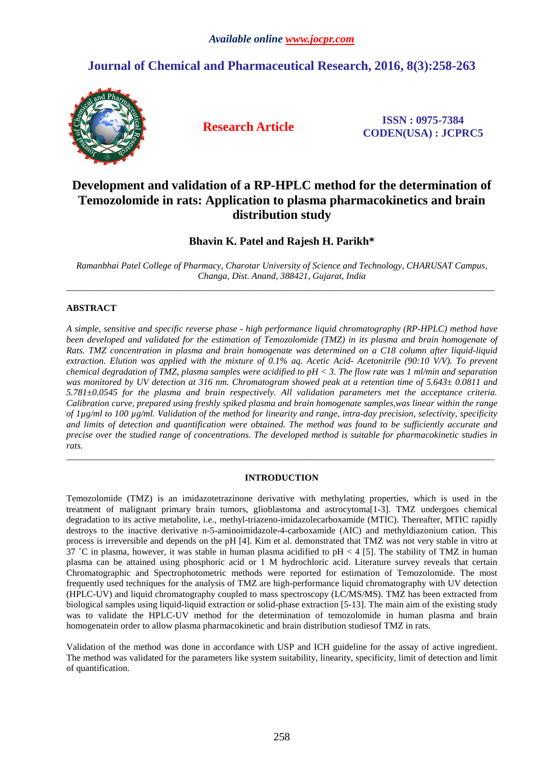# **Journal of Chemical and Pharmaceutical Research, 2016, 8(3):258-263**



**Research Article ISSN : 0975-7384 CODEN(USA) : JCPRC5**

## **Development and validation of a RP-HPLC method for the determination of Temozolomide in rats: Application to plasma pharmacokinetics and brain distribution study**

## **Bhavin K. Patel and Rajesh H. Parikh\***

*Ramanbhai Patel College of Pharmacy, Charotar University of Science and Technology, CHARUSAT Campus, Changa, Dist. Anand, 388421, Gujarat, India*   $\overline{a}$  , and the contribution of the contribution of the contribution of the contribution of the contribution of the contribution of the contribution of the contribution of the contribution of the contribution of the co

## **ABSTRACT**

*A simple, sensitive and specific reverse phase - high performance liquid chromatography (RP-HPLC) method have been developed and validated for the estimation of Temozolomide (TMZ) in its plasma and brain homogenate of Rats. TMZ concentration in plasma and brain homogenate was determined on a C18 column after liquid-liquid extraction. Elution was applied with the mixture of 0.1% aq. Acetic Acid- Acetonitrile (90:10 V/V). To prevent chemical degradation of TMZ, plasma samples were acidified to pH < 3. The flow rate was 1 ml/min and separation was monitored by UV detection at 316 nm. Chromatogram showed peak at a retention time of 5.643± 0.0811 and 5.781±0.0545 for the plasma and brain respectively. All validation parameters met the acceptance criteria. Calibration curve, prepared using freshly spiked plasma and brain homogenate samples,was linear within the range of 1µg/ml to 100 µg/ml. Validation of the method for linearity and range, intra-day precision, selectivity, specificity and limits of detection and quantification were obtained. The method was found to be sufficiently accurate and precise over the studied range of concentrations. The developed method is suitable for pharmacokinetic studies in rats.* 

## **INTRODUCTION**

\_\_\_\_\_\_\_\_\_\_\_\_\_\_\_\_\_\_\_\_\_\_\_\_\_\_\_\_\_\_\_\_\_\_\_\_\_\_\_\_\_\_\_\_\_\_\_\_\_\_\_\_\_\_\_\_\_\_\_\_\_\_\_\_\_\_\_\_\_\_\_\_\_\_\_\_\_\_\_\_\_\_\_\_\_\_\_\_\_\_\_\_\_

Temozolomide (TMZ) is an imidazotetrazinone derivative with methylating properties, which is used in the treatment of malignant primary brain tumors, glioblastoma and astrocytoma[1-3]. TMZ undergoes chemical degradation to its active metabolite, i.e., methyl-triazeno-imidazolecarboxamide (MTIC). Thereafter, MTIC rapidly destroys to the inactive derivative n-5-aminoimidazole-4-carboxamide (AIC) and methyldiazonium cation. This process is irreversible and depends on the pH [4]. Kim et al. demonstrated that TMZ was not very stable in vitro at 37 ˚C in plasma, however, it was stable in human plasma acidified to pH < 4 [5]. The stability of TMZ in human plasma can be attained using phosphoric acid or 1 M hydrochloric acid. Literature survey reveals that certain Chromatographic and Spectrophotometric methods were reported for estimation of Temozolomide. The most frequently used techniques for the analysis of TMZ are high-performance liquid chromatography with UV detection (HPLC-UV) and liquid chromatography coupled to mass spectroscopy (LC/MS/MS). TMZ has been extracted from biological samples using liquid-liquid extraction or solid-phase extraction [5-13]. The main aim of the existing study was to validate the HPLC-UV method for the determination of temozolomide in human plasma and brain homogenatein order to allow plasma pharmacokinetic and brain distribution studiesof TMZ in rats.

Validation of the method was done in accordance with USP and ICH guideline for the assay of active ingredient. The method was validated for the parameters like system suitability, linearity, specificity, limit of detection and limit of quantification.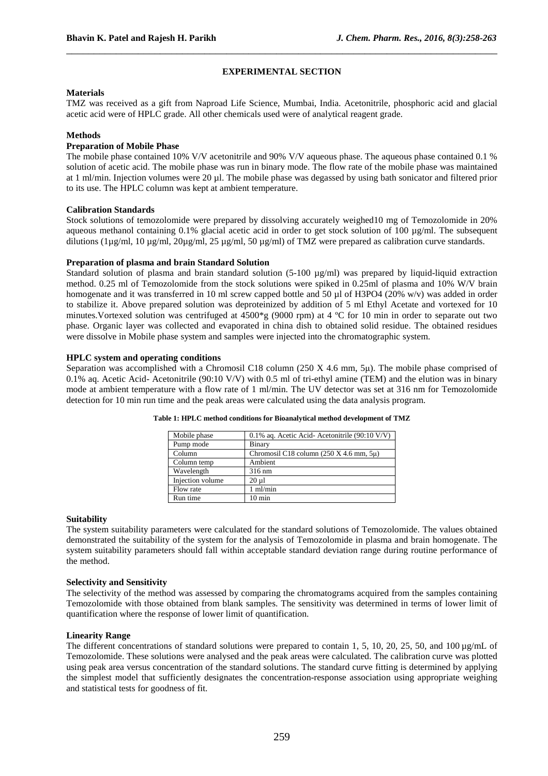## **EXPERIMENTAL SECTION**

\_\_\_\_\_\_\_\_\_\_\_\_\_\_\_\_\_\_\_\_\_\_\_\_\_\_\_\_\_\_\_\_\_\_\_\_\_\_\_\_\_\_\_\_\_\_\_\_\_\_\_\_\_\_\_\_\_\_\_\_\_\_\_\_\_\_\_\_\_\_\_\_\_\_\_\_\_\_

#### **Materials**

TMZ was received as a gift from Naproad Life Science, Mumbai, India. Acetonitrile, phosphoric acid and glacial acetic acid were of HPLC grade. All other chemicals used were of analytical reagent grade.

## **Methods**

## **Preparation of Mobile Phase**

The mobile phase contained 10% V/V acetonitrile and 90% V/V aqueous phase. The aqueous phase contained 0.1 % solution of acetic acid. The mobile phase was run in binary mode. The flow rate of the mobile phase was maintained at 1 ml/min. Injection volumes were 20 µl. The mobile phase was degassed by using bath sonicator and filtered prior to its use. The HPLC column was kept at ambient temperature.

### **Calibration Standards**

Stock solutions of temozolomide were prepared by dissolving accurately weighed10 mg of Temozolomide in 20% aqueous methanol containing 0.1% glacial acetic acid in order to get stock solution of  $100 \mu g/ml$ . The subsequent dilutions (1µg/ml, 10 µg/ml, 20µg/ml, 25 µg/ml, 50 µg/ml) of TMZ were prepared as calibration curve standards.

#### **Preparation of plasma and brain Standard Solution**

Standard solution of plasma and brain standard solution  $(5-100 \mu g/ml)$  was prepared by liquid-liquid extraction method. 0.25 ml of Temozolomide from the stock solutions were spiked in 0.25ml of plasma and 10% W/V brain homogenate and it was transferred in 10 ml screw capped bottle and 50 µl of H3PO4 (20% w/v) was added in order to stabilize it. Above prepared solution was deproteinized by addition of 5 ml Ethyl Acetate and vortexed for 10 minutes.Vortexed solution was centrifuged at 4500\*g (9000 rpm) at 4 ºC for 10 min in order to separate out two phase. Organic layer was collected and evaporated in china dish to obtained solid residue. The obtained residues were dissolve in Mobile phase system and samples were injected into the chromatographic system.

## **HPLC system and operating conditions**

Separation was accomplished with a Chromosil C18 column (250 X 4.6 mm, 5 $\mu$ ). The mobile phase comprised of 0.1% aq. Acetic Acid- Acetonitrile (90:10 V/V) with 0.5 ml of tri-ethyl amine (TEM) and the elution was in binary mode at ambient temperature with a flow rate of 1 ml/min. The UV detector was set at 316 nm for Temozolomide detection for 10 min run time and the peak areas were calculated using the data analysis program.

| Mobile phase     | $0.1\%$ ag. Acetic Acid-Acetonitrile (90:10 V/V) |
|------------------|--------------------------------------------------|
| Pump mode        | Binary                                           |
| Column           | Chromosil C18 column $(250 X 4.6 mm, 5\mu)$      |
| Column temp      | Ambient                                          |
| Wavelength       | 316 nm                                           |
| Injection volume | $20 \mu l$                                       |
| Flow rate        | $1$ m $l/min$                                    |
| Run time         | $10 \text{ min}$                                 |

**Table 1: HPLC method conditions for Bioanalytical method development of TMZ** 

### **Suitability**

The system suitability parameters were calculated for the standard solutions of Temozolomide. The values obtained demonstrated the suitability of the system for the analysis of Temozolomide in plasma and brain homogenate. The system suitability parameters should fall within acceptable standard deviation range during routine performance of the method.

## **Selectivity and Sensitivity**

The selectivity of the method was assessed by comparing the chromatograms acquired from the samples containing Temozolomide with those obtained from blank samples. The sensitivity was determined in terms of lower limit of quantification where the response of lower limit of quantification.

#### **Linearity Range**

The different concentrations of standard solutions were prepared to contain 1, 5, 10, 20, 25, 50, and 100  $\mu$ g/mL of Temozolomide. These solutions were analysed and the peak areas were calculated. The calibration curve was plotted using peak area versus concentration of the standard solutions. The standard curve fitting is determined by applying the simplest model that sufficiently designates the concentration-response association using appropriate weighing and statistical tests for goodness of fit.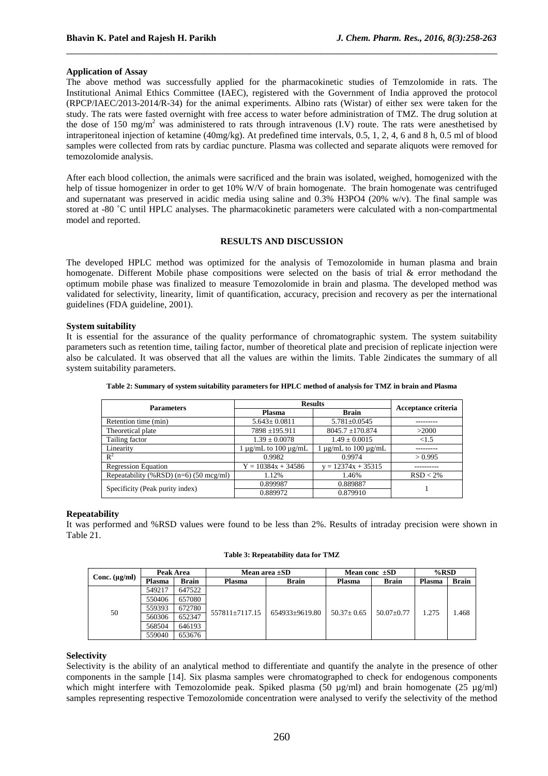## **Application of Assay**

The above method was successfully applied for the pharmacokinetic studies of Temzolomide in rats. The Institutional Animal Ethics Committee (IAEC), registered with the Government of India approved the protocol (RPCP/IAEC/2013-2014/R-34) for the animal experiments. Albino rats (Wistar) of either sex were taken for the study. The rats were fasted overnight with free access to water before administration of TMZ. The drug solution at the dose of 150 mg/m<sup>2</sup> was administered to rats through intravenous  $(IV)$  route. The rats were anesthetised by intraperitoneal injection of ketamine (40mg/kg). At predefined time intervals, 0.5, 1, 2, 4, 6 and 8 h, 0.5 ml of blood samples were collected from rats by cardiac puncture. Plasma was collected and separate aliquots were removed for temozolomide analysis.

\_\_\_\_\_\_\_\_\_\_\_\_\_\_\_\_\_\_\_\_\_\_\_\_\_\_\_\_\_\_\_\_\_\_\_\_\_\_\_\_\_\_\_\_\_\_\_\_\_\_\_\_\_\_\_\_\_\_\_\_\_\_\_\_\_\_\_\_\_\_\_\_\_\_\_\_\_\_

After each blood collection, the animals were sacrificed and the brain was isolated, weighed, homogenized with the help of tissue homogenizer in order to get 10% W/V of brain homogenate. The brain homogenate was centrifuged and supernatant was preserved in acidic media using saline and 0.3% H3PO4 (20% w/v). The final sample was stored at -80 ˚C until HPLC analyses. The pharmacokinetic parameters were calculated with a non-compartmental model and reported.

## **RESULTS AND DISCUSSION**

The developed HPLC method was optimized for the analysis of Temozolomide in human plasma and brain homogenate. Different Mobile phase compositions were selected on the basis of trial & error methodand the optimum mobile phase was finalized to measure Temozolomide in brain and plasma. The developed method was validated for selectivity, linearity, limit of quantification, accuracy, precision and recovery as per the international guidelines (FDA guideline, 2001).

## **System suitability**

It is essential for the assurance of the quality performance of chromatographic system. The system suitability parameters such as retention time, tailing factor, number of theoretical plate and precision of replicate injection were also be calculated. It was observed that all the values are within the limits. Table 2indicates the summary of all system suitability parameters.

| <b>Parameters</b>                        | <b>Results</b>                 | Acceptance criteria            |             |  |
|------------------------------------------|--------------------------------|--------------------------------|-------------|--|
|                                          | Plasma                         | <b>Brain</b>                   |             |  |
| Retention time (min)                     | $5.643 \pm 0.0811$             | $5.781 \pm 0.0545$             |             |  |
| Theoretical plate                        | $7898 + 195.911$               | $8045.7 \pm 170.874$           | >2000       |  |
| Tailing factor                           | $1.39 \pm 0.0078$              | $1.49 \pm 0.0015$              | ${<}1.5$    |  |
| Linearity                                | $1 \mu$ g/mL to $100 \mu$ g/mL | $1 \mu$ g/mL to $100 \mu$ g/mL |             |  |
| $R^2$                                    | 0.9982                         | 0.9974                         | > 0.995     |  |
| <b>Regression Equation</b>               | $Y = 10384x + 34586$           | $y = 12374x + 35315$           |             |  |
| Repeatability (%RSD) $(n=6)$ (50 mcg/ml) | 1.12%                          | 1.46%                          | $RSD < 2\%$ |  |
|                                          | 0.899987                       | 0.889887                       |             |  |
| Specificity (Peak purity index)          | 0.889972                       | 0.879910                       |             |  |

**Table 2: Summary of system suitability parameters for HPLC method of analysis for TMZ in brain and Plasma** 

## **Repeatability**

It was performed and %RSD values were found to be less than 2%. Results of intraday precision were shown in Table 21.

|  | Table 3: Repeatability data for TMZ |  |  |  |
|--|-------------------------------------|--|--|--|
|--|-------------------------------------|--|--|--|

|                    | Peak Area     |        | Mean area $\pm SD$ |                | Mean conc $\pm SD$ |                  | $%$ RSD |              |
|--------------------|---------------|--------|--------------------|----------------|--------------------|------------------|---------|--------------|
| Conc. $(\mu g/ml)$ | <b>Plasma</b> | Brain  | <b>Plasma</b>      | <b>Brain</b>   | <b>Plasma</b>      | <b>Brain</b>     | Plasma  | <b>Brain</b> |
|                    | 549217        | 647522 |                    | 654933+9619.80 | $50.37 \pm 0.65$   | $50.07 \pm 0.77$ | 1.275   | .468         |
| 50                 | 550406        | 657080 | 557811±7117.15     |                |                    |                  |         |              |
|                    | 559393        | 672780 |                    |                |                    |                  |         |              |
|                    | 560306        | 652347 |                    |                |                    |                  |         |              |
|                    | 568504        | 646193 |                    |                |                    |                  |         |              |
|                    | 559040        | 653676 |                    |                |                    |                  |         |              |

### **Selectivity**

Selectivity is the ability of an analytical method to differentiate and quantify the analyte in the presence of other components in the sample [14]. Six plasma samples were chromatographed to check for endogenous components which might interfere with Temozolomide peak. Spiked plasma (50  $\mu$ g/ml) and brain homogenate (25  $\mu$ g/ml) samples representing respective Temozolomide concentration were analysed to verify the selectivity of the method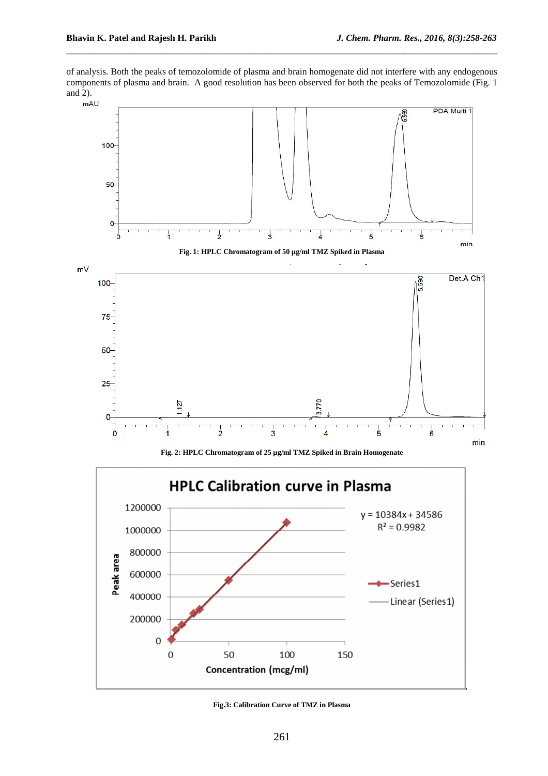of analysis. Both the peaks of temozolomide of plasma and brain homogenate did not interfere with any endogenous components of plasma and brain. A good resolution has been observed for both the peaks of Temozolomide (Fig. 1 and 2).

\_\_\_\_\_\_\_\_\_\_\_\_\_\_\_\_\_\_\_\_\_\_\_\_\_\_\_\_\_\_\_\_\_\_\_\_\_\_\_\_\_\_\_\_\_\_\_\_\_\_\_\_\_\_\_\_\_\_\_\_\_\_\_\_\_\_\_\_\_\_\_\_\_\_\_\_\_\_



**Fig. 2: HPLC Chromatogram of 25 µg/ml TMZ Spiked in Brain Homogenate** 



**Fig.3: Calibration Curve of TMZ in Plasma**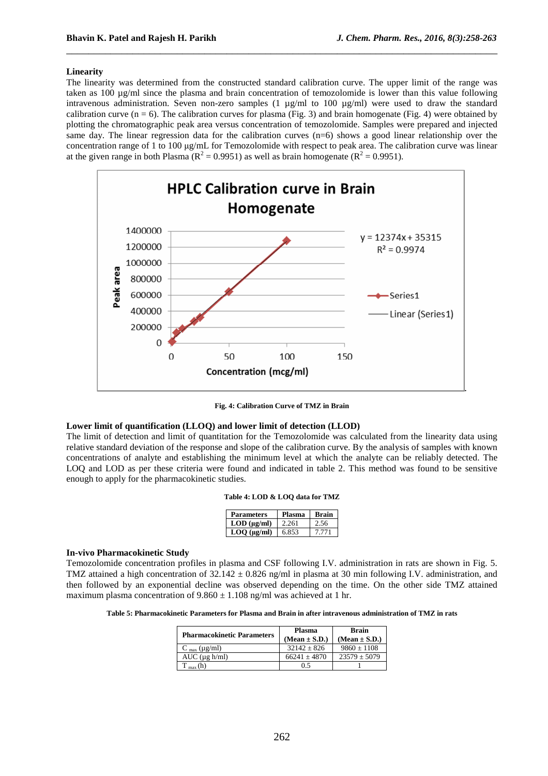#### **Linearity**

The linearity was determined from the constructed standard calibration curve. The upper limit of the range was taken as 100 µg/ml since the plasma and brain concentration of temozolomide is lower than this value following intravenous administration. Seven non-zero samples (1  $\mu$ g/ml to 100  $\mu$ g/ml) were used to draw the standard calibration curve ( $n = 6$ ). The calibration curves for plasma (Fig. 3) and brain homogenate (Fig. 4) were obtained by plotting the chromatographic peak area versus concentration of temozolomide. Samples were prepared and injected same day. The linear regression data for the calibration curves (n=6) shows a good linear relationship over the concentration range of 1 to 100 µg/mL for Temozolomide with respect to peak area. The calibration curve was linear at the given range in both Plasma ( $R^2 = 0.9951$ ) as well as brain homogenate ( $R^2 = 0.9951$ ).

\_\_\_\_\_\_\_\_\_\_\_\_\_\_\_\_\_\_\_\_\_\_\_\_\_\_\_\_\_\_\_\_\_\_\_\_\_\_\_\_\_\_\_\_\_\_\_\_\_\_\_\_\_\_\_\_\_\_\_\_\_\_\_\_\_\_\_\_\_\_\_\_\_\_\_\_\_\_



**Fig. 4: Calibration Curve of TMZ in Brain** 

#### **Lower limit of quantification (LLOQ) and lower limit of detection (LLOD)**

The limit of detection and limit of quantitation for the Temozolomide was calculated from the linearity data using relative standard deviation of the response and slope of the calibration curve. By the analysis of samples with known concentrations of analyte and establishing the minimum level at which the analyte can be reliably detected. The LOQ and LOD as per these criteria were found and indicated in table 2. This method was found to be sensitive enough to apply for the pharmacokinetic studies.

#### **Table 4: LOD & LOQ data for TMZ**

| Parameters          | Plasma | Brain |
|---------------------|--------|-------|
| $LOD$ (ug/ml)       | 2.261  | 2.56  |
| $LOO$ ( $\mu$ g/ml) | 6.853  | 7.771 |

#### **In-vivo Pharmacokinetic Study**

Temozolomide concentration profiles in plasma and CSF following I.V. administration in rats are shown in Fig. 5. TMZ attained a high concentration of  $32.142 \pm 0.826$  ng/ml in plasma at 30 min following I.V. administration, and then followed by an exponential decline was observed depending on the time. On the other side TMZ attained maximum plasma concentration of  $9.860 \pm 1.108$  ng/ml was achieved at 1 hr.

**Table 5: Pharmacokinetic Parameters for Plasma and Brain in after intravenous administration of TMZ in rats** 

| <b>Pharmacokinetic Parameters</b> | <b>Plasma</b><br>$(Mean \pm S.D.)$ | <b>Brain</b><br>$(Mean \pm S.D.)$ |  |
|-----------------------------------|------------------------------------|-----------------------------------|--|
| $C_{\text{max}} (\mu g/ml)$       | $32142 + 826$                      | $9860 \pm 1108$                   |  |
| $AUC$ ( $\mu$ g h/ml)             | $66241 + 4870$                     | $23579 \pm 5079$                  |  |
|                                   | 0.5                                |                                   |  |